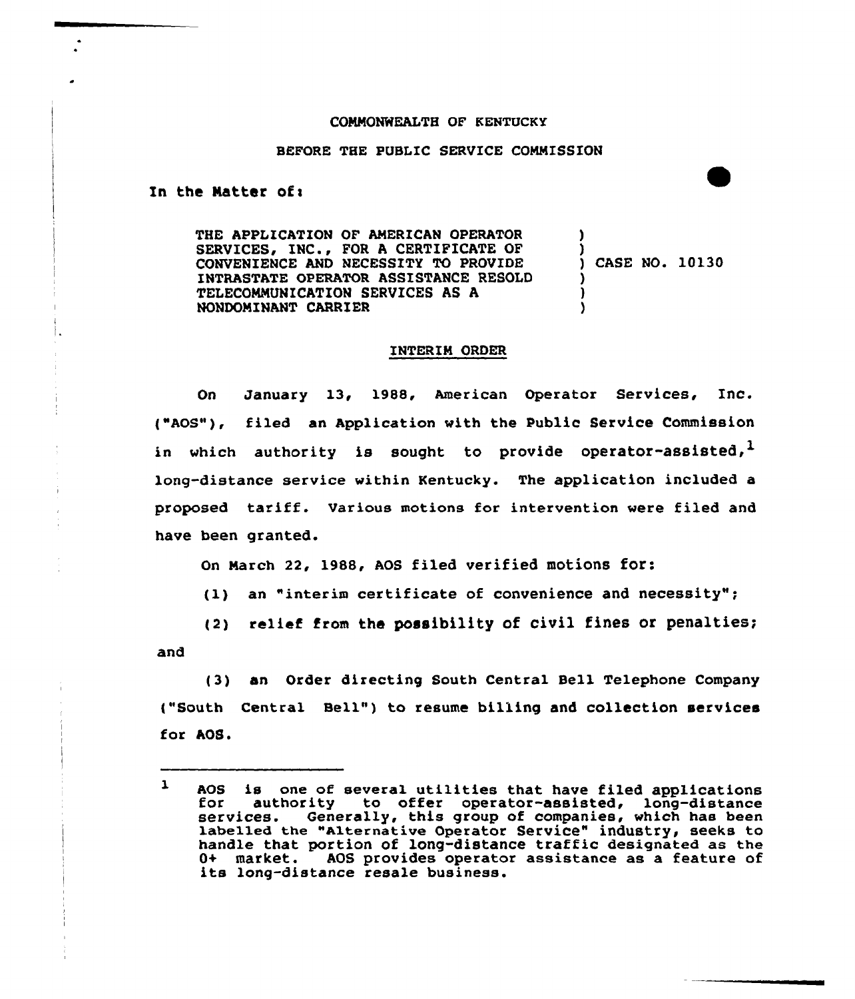## COMNQNWEALTH OF KENTUCKY

## BEFORE THE PUBLIC SERVICE COMMISSION

In the Matter of $<sub>1</sub>$ </sub>

THE APPLICATION OF AMERICAN OPERATOR SERVICES, INC., FOR <sup>A</sup> CERTIFICATE OF CONVENIENCE AND NECESSITY TO PROVIDE INTRASTATE OPERATOR ASSISTANCE RESOLD TELECOMMUNICATION SERVICES AS A NONDGMINANT CARRIER ) ) ) )

) ) CASE NO. 10130

## INTERIM ORDER

On January 13, 1988, American Operator Services, Inc. ("AOS"), filed an Application with the Public Service Commission in which authority is sought to provide operator-assisted,  $\frac{1}{2}$ long-distance service within Kentucky. The application included a proposed tariff. Various motions for intervention were filed and have been granted.

on Narch 22, 1988, Aos filed verified motions for:

(1) an "interim certificate of convenience and necessity";

(2) relief from the possibility of civil fines or penalties; and

(3) an Order directing South Central Bell Telephone Company ("South Central Bell") to resume billing and collection services for AOS.

 $\mathbf{1}$ AOS is one of several utilities that have filed applications for authority to offer operator-assisted, long-distance services. Generally, this group of companies, which has been labelled the "Alternative Operator Service" industry, seeks to handle that portion of long-distance traffic designated as the 0+ market. AOS provides operator assistance as a feature of its long-distance resale business.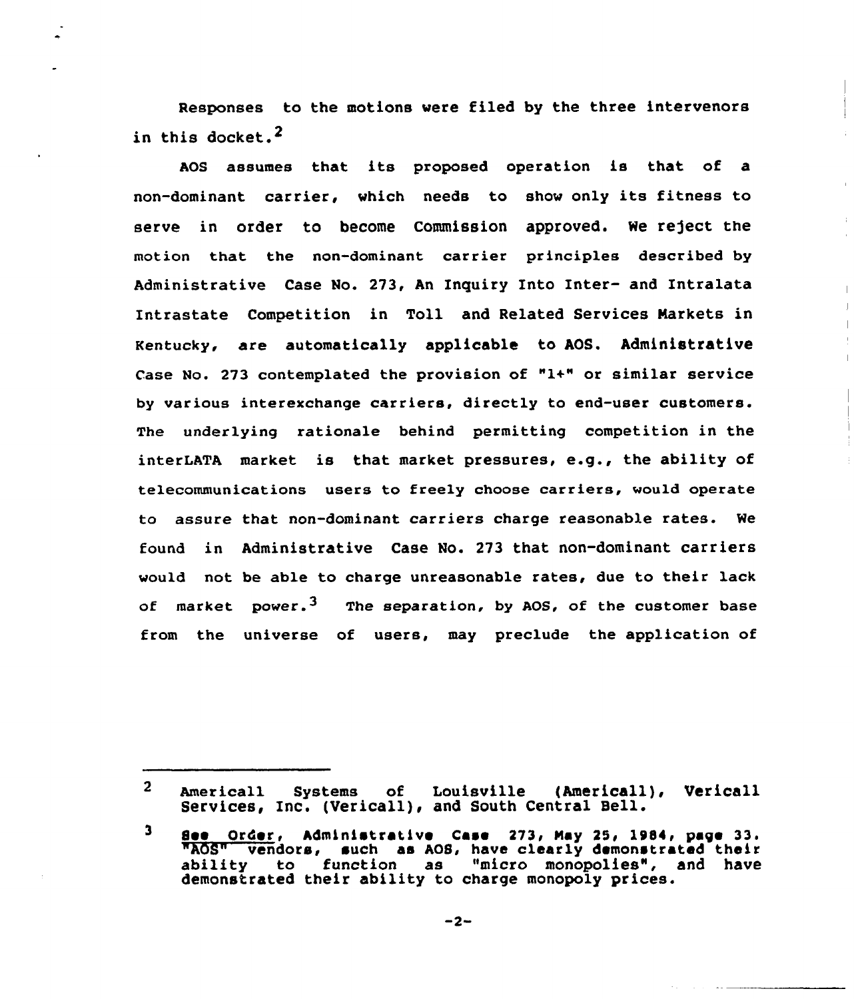Responses to the motions vere filed by the three intervenors in this docket.<sup>2</sup>

AOS assumes that its proposed operation is that of a non-dominant carrier, vhich needs to shov only its fitness to serve in order to become Commission approved. We reject the motion that the non-dominant carrier principles described by Administrative Case No. 273, An Inquiry Into Inter- and Intralata Intrastate Competition in Toll and Related Services Markets in Kentucky, are automatically applicable to AOS. Administrative Case No. 273 contemplated the provision of "1+" or similar service by various interexchange carriers, directly to end-user customers. The underlying rationale behind permitting competition in the interLATA market is that market pressures, e.g., the ability of telecommunications users to freely choose carriers, vould operate to assure that non-dominant carriers charge reasonable rates. We found in Administrative Case No. 273 that non-dominant carriers vould not be able to charge unreasonable rates, due to their lack of market power.<sup>3</sup> The separation, by AOS, of the customer base from the universe of users, may preclude the application of

Americall systems of Louisville (Americall), vericall  $2<sup>1</sup>$ Services, Inc. (Vericall), and South Central Bell.

 $3$  See Order, Administrative Case 273, May 25, 1984, page 33. "AOS" vendors, such as AOS, have clearly demonstrated their<br>ability to function as "micro monopolies", and have as "micro monopolies", and have demonstrated their ability to charge monopoly prices.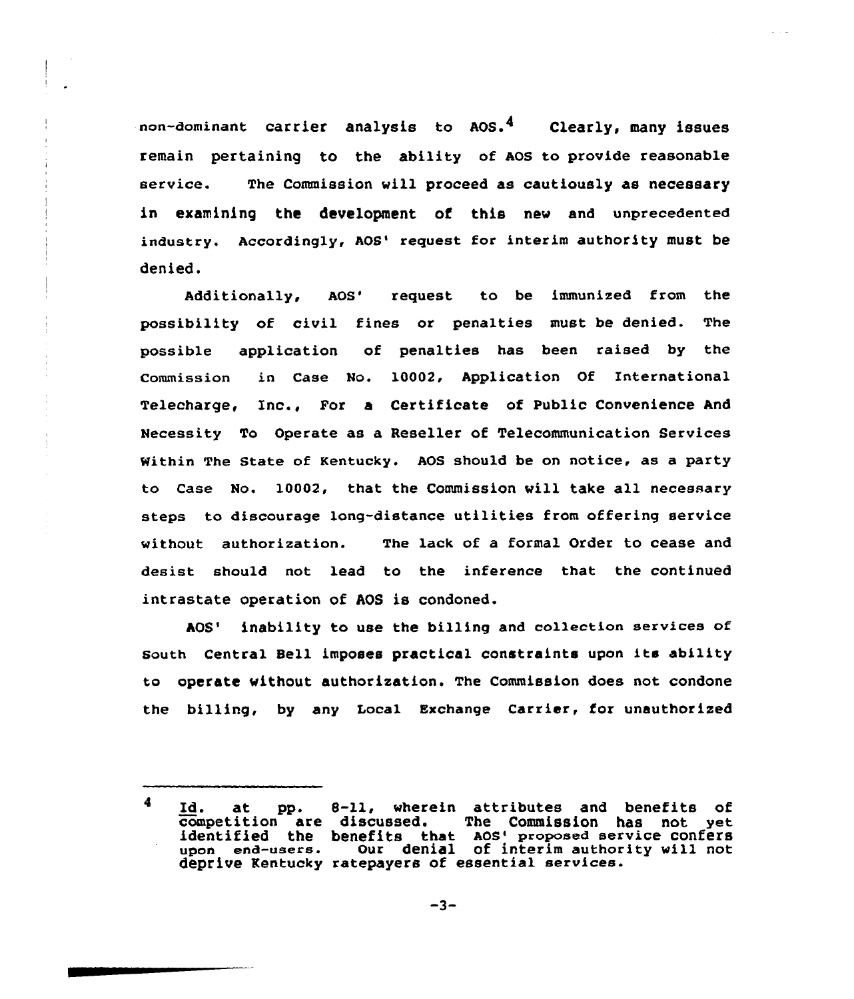non-dominant carrier analysis to AOS.<sup>4</sup> Clearly, many issues remain pertaining to the ability of AOS to provide reasonable service. The Commission will proceed as cautiously as necessary in examining the development of this new and unprecedented industry. Accordingly, AOS' request for interim authority must be denied.

Additionally, AOS' request to be immunized from the possibility of civil fines or penalties must be denied. The possible application of penalties has been raised by the Commission in Case No. 10002, Application Of International Telecharge, Inc., For a Certificate of Public Convenience And Necessity To Operate as a Reseller of Telecommunication Services within The State of Kentucky. AOS should be on notice, as a party to Case No. 10002, that the Commission will take all necessary steps to discourage long-distance utilities from offering service without authorization. The lack of a formal Order to cease and desist should not lead to the inference that the continued intrastate operation of AOS is condoned.

AOS' inability to use the billing and collection services of South Central Bell imposes practical constraints upon its ability to operate without authorization. The Commission does not condone the billing, by any Local Exchange Carrier, for unauthorized

 $-3-$ 

<sup>4</sup> Id. at pp. 8-11, wherein attributes and benefits of<br>competition are discussed. The Commission has not yet identified the benefits that AOS' proposed service confers<br>upon end-users. Our denial of interim authority will not Our denial of interim authority will not deprive Kentucky ratepayers of essential services.